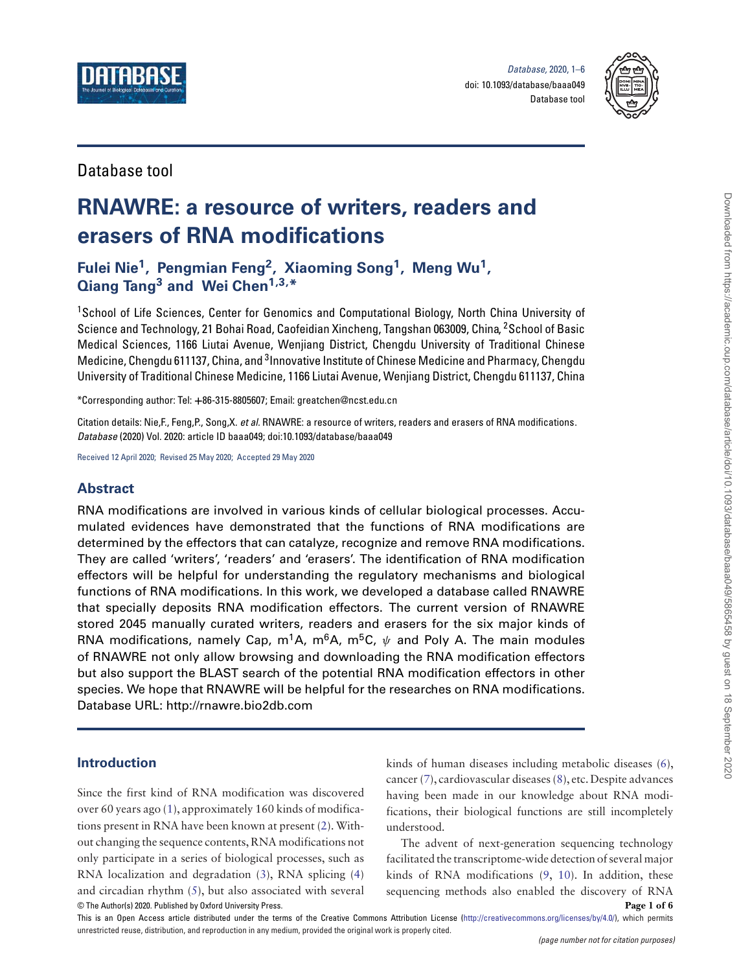



## Database tool

# **RNAWRE: a resource of writers, readers and erasers of RNA modifications**

**Fulei Nie1, Pengmian Feng2, Xiaoming Song1, Meng Wu1, Qiang Tang<sup>3</sup> and Wei Chen1,3,\***

<sup>1</sup>School of Life Sciences, Center for Genomics and Computational Biology, North China University of Science and Technology, 21 Bohai Road, Caofeidian Xincheng, Tangshan 063009, China, 2School of Basic Medical Sciences, 1166 Liutai Avenue, Wenjiang District, Chengdu University of Traditional Chinese Medicine, Chengdu 611137, China, and <sup>3</sup>Innovative Institute of Chinese Medicine and Pharmacy, Chengdu University of Traditional Chinese Medicine, 1166 Liutai Avenue, Wenjiang District, Chengdu 611137, China

\*Corresponding author: Tel: **+**86-315-8805607; Email: greatchen@ncst.edu.cn

Citation details: Nie, F., Feng, P., Song, X. et al. RNAWRE: a resource of writers, readers and erasers of RNA modifications. Database (2020) Vol. 2020: article ID baaa049; doi:10.1093/database/baaa049

Received 12 April 2020; Revised 25 May 2020; Accepted 29 May 2020

## **Abstract**

RNA modifications are involved in various kinds of cellular biological processes. Accumulated evidences have demonstrated that the functions of RNA modifications are determined by the effectors that can catalyze, recognize and remove RNA modifications. They are called 'writers', 'readers' and 'erasers'. The identification of RNA modification effectors will be helpful for understanding the regulatory mechanisms and biological functions of RNA modifications. In this work, we developed a database called RNAWRE that specially deposits RNA modification effectors. The current version of RNAWRE stored 2045 manually curated writers, readers and erasers for the six major kinds of RNA modifications, namely Cap, m<sup>1</sup>A, m<sup>6</sup>A, m<sup>5</sup>C, *ψ* and Poly A. The main modules of RNAWRE not only allow browsing and downloading the RNA modification effectors but also support the BLAST search of the potential RNA modification effectors in other species. We hope that RNAWRE will be helpful for the researches on RNA modifications. Database URL: http://rnawre.bio2db.com

## **Introduction**

Since the first kind of RNA modification was discovered over 60 years ago [\(1\)](#page-4-0), approximately 160 kinds of modifications present in RNA have been known at present [\(2\)](#page-4-1). Without changing the sequence contents, RNA modifications not only participate in a series of biological processes, such as RNA localization and degradation [\(3\)](#page-4-2), RNA splicing [\(4\)](#page-4-3) and circadian rhythm [\(5\)](#page-4-4), but also associated with several kinds of human diseases including metabolic diseases [\(6\)](#page-4-5), cancer [\(7\)](#page-4-6), cardiovascular diseases [\(8\)](#page-4-7), etc. Despite advances having been made in our knowledge about RNA modifications, their biological functions are still incompletely understood.

© The Author(s) 2020. Published by Oxford University Press. **Page 1 of 6** The advent of next-generation sequencing technology facilitated the transcriptome-wide detection of several major kinds of RNA modifications [\(9,](#page-4-8) [10\)](#page-4-9). In addition, these sequencing methods also enabled the discovery of RNA

This is an Open Access article distributed under the terms of the Creative Commons Attribution License [\(http://creativecommons.org/licenses/by/4.0/\)](http://creativecommons.org/licenses/by/4.0/), which permits unrestricted reuse, distribution, and reproduction in any medium, provided the original work is properly cited.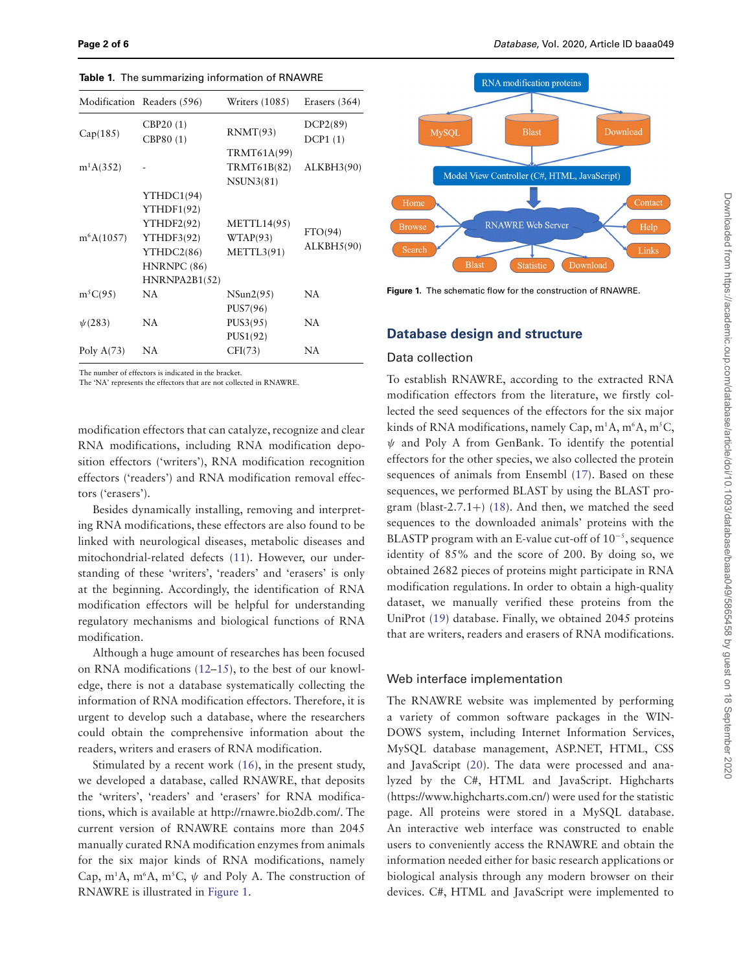|              | Modification Readers (596)                                                                         | <b>Writers (1085)</b>                        | Erasers (364)                |
|--------------|----------------------------------------------------------------------------------------------------|----------------------------------------------|------------------------------|
| Cap(185)     | CBP20(1)<br>CBP80 (1)                                                                              | RNMT(93)                                     | DCP2(89)<br>DCP1(1)          |
| $m^1A(352)$  |                                                                                                    | TRMT61A(99)<br>TRMT61B(82)<br>NSUN3(81)      | ALKBH3(90)                   |
| $m^6A(1057)$ | YTHDC1(94)<br>YTHDF1(92)<br>YTHDF2(92)<br>YTHDF3(92)<br>YTHDC2(86)<br>HNRNPC (86)<br>HNRNPA2B1(52) | <b>METTL14(95)</b><br>WTAP(93)<br>METTL3(91) | FTO(94)<br><b>ALKBH5(90)</b> |
| $m^5C(95)$   | <b>NA</b>                                                                                          | NSum2(95)<br>PUS7(96)                        | NA.                          |
| $\psi(283)$  | NA                                                                                                 | PUS3(95)<br>PUS1(92)                         | NA                           |
| Poly $A(73)$ | NA                                                                                                 | CFI(73)                                      | NA                           |

<span id="page-1-1"></span>**Table 1.** The summarizing information of RNAWRE

The number of effectors is indicated in the bracket.

The 'NA' represents the effectors that are not collected in RNAWRE.

modification effectors that can catalyze, recognize and clear RNA modifications, including RNA modification deposition effectors ('writers'), RNA modification recognition effectors ('readers') and RNA modification removal effectors ('erasers').

Besides dynamically installing, removing and interpreting RNA modifications, these effectors are also found to be linked with neurological diseases, metabolic diseases and mitochondrial-related defects [\(11\)](#page-4-10). However, our understanding of these 'writers', 'readers' and 'erasers' is only at the beginning. Accordingly, the identification of RNA modification effectors will be helpful for understanding regulatory mechanisms and biological functions of RNA modification.

Although a huge amount of researches has been focused on RNA modifications [\(12](#page-4-11)[–15\)](#page-4-12), to the best of our knowledge, there is not a database systematically collecting the information of RNA modification effectors. Therefore, it is urgent to develop such a database, where the researchers could obtain the comprehensive information about the readers, writers and erasers of RNA modification.

Stimulated by a recent work [\(16\)](#page-4-13), in the present study, we developed a database, called RNAWRE, that deposits the 'writers', 'readers' and 'erasers' for RNA modifications, which is available at http://rnawre.bio2db.com/. The current version of RNAWRE contains more than 2045 manually curated RNA modification enzymes from animals for the six major kinds of RNA modifications, namely Cap, m<sup>1</sup>A, m<sup>6</sup>A, m<sup>5</sup>C,  $\psi$  and Poly A. The construction of RNAWRE is illustrated in [Figure 1.](#page-1-0)



<span id="page-1-0"></span>**Figure 1.** The schematic flow for the construction of RNAWRE.

#### **Database design and structure**

#### Data collection

To establish RNAWRE, according to the extracted RNA modification effectors from the literature, we firstly collected the seed sequences of the effectors for the six major kinds of RNA modifications, namely Cap,  $\rm m^1A,m^6A,m^5C,$ *ψ* and Poly A from GenBank. To identify the potential effectors for the other species, we also collected the protein sequences of animals from Ensembl [\(17\)](#page-5-0). Based on these sequences, we performed BLAST by using the BLAST pro-gram (blast-2.7.1+) [\(18\)](#page-5-1). And then, we matched the seed sequences to the downloaded animals' proteins with the BLASTP program with an E-value cut-off of 10−<sup>5</sup> , sequence identity of 85% and the score of 200. By doing so, we obtained 2682 pieces of proteins might participate in RNA modification regulations. In order to obtain a high-quality dataset, we manually verified these proteins from the UniProt [\(19\)](#page-5-2) database. Finally, we obtained 2045 proteins that are writers, readers and erasers of RNA modifications.

#### Web interface implementation

The RNAWRE website was implemented by performing a variety of common software packages in the WIN-DOWS system, including Internet Information Services, MySQL database management, ASP.NET, HTML, CSS and JavaScript [\(20\)](#page-5-3). The data were processed and analyzed by the C#, HTML and JavaScript. Highcharts (https://www.highcharts.com.cn/) were used for the statistic page. All proteins were stored in a MySQL database. An interactive web interface was constructed to enable users to conveniently access the RNAWRE and obtain the information needed either for basic research applications or biological analysis through any modern browser on their devices. C#, HTML and JavaScript were implemented to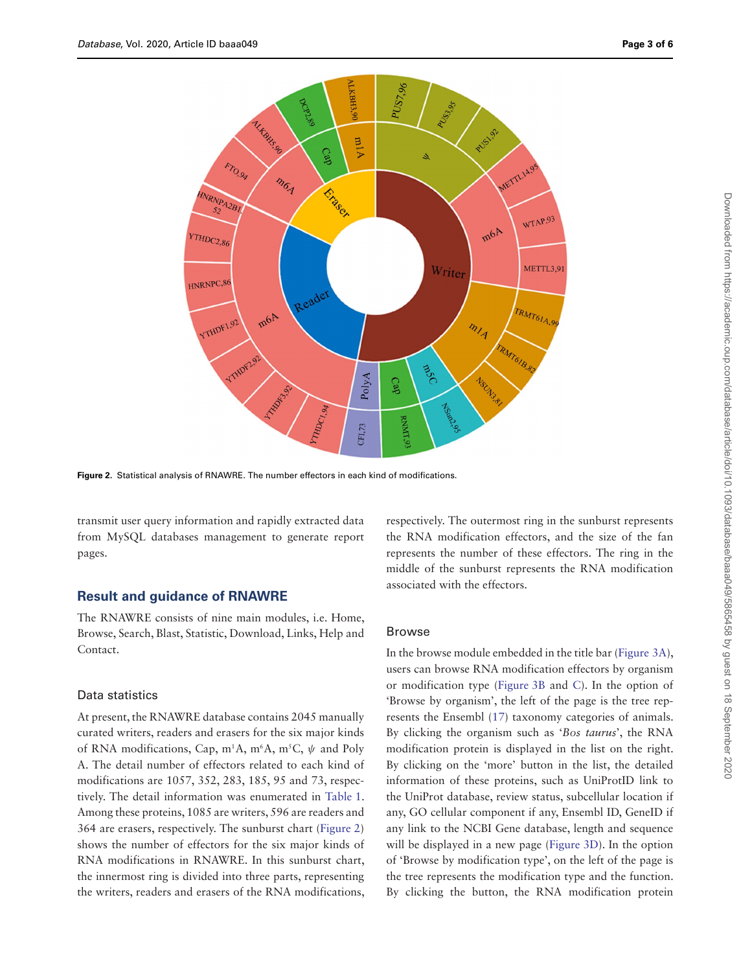

<span id="page-2-0"></span>**Figure 2.** Statistical analysis of RNAWRE. The number effectors in each kind of modifications.

transmit user query information and rapidly extracted data from MySQL databases management to generate report pages.

#### **Result and guidance of RNAWRE**

The RNAWRE consists of nine main modules, i.e. Home, Browse, Search, Blast, Statistic, Download, Links, Help and Contact.

#### Data statistics

At present, the RNAWRE database contains 2045 manually curated writers, readers and erasers for the six major kinds of RNA modifications, Cap, m<sup>1</sup>A, m<sup>6</sup>A, m<sup>5</sup>C, ψ and Poly A. The detail number of effectors related to each kind of modifications are 1057, 352, 283, 185, 95 and 73, respectively. The detail information was enumerated in [Table 1.](#page-1-1) Among these proteins, 1085 are writers, 596 are readers and 364 are erasers, respectively. The sunburst chart [\(Figure 2\)](#page-2-0) shows the number of effectors for the six major kinds of RNA modifications in RNAWRE. In this sunburst chart, the innermost ring is divided into three parts, representing the writers, readers and erasers of the RNA modifications, respectively. The outermost ring in the sunburst represents the RNA modification effectors, and the size of the fan represents the number of these effectors. The ring in the middle of the sunburst represents the RNA modification associated with the effectors.

#### Browse

In the browse module embedded in the title bar [\(Figure 3A\)](#page-3-0), users can browse RNA modification effectors by organism or modification type [\(Figure 3B](#page-3-0) and [C\)](#page-3-0). In the option of 'Browse by organism', the left of the page is the tree represents the Ensembl [\(17\)](#page-5-0) taxonomy categories of animals. By clicking the organism such as 'Bos taurus', the RNA modification protein is displayed in the list on the right. By clicking on the 'more' button in the list, the detailed information of these proteins, such as UniProtID link to the UniProt database, review status, subcellular location if any, GO cellular component if any, Ensembl ID, GeneID if any link to the NCBI Gene database, length and sequence will be displayed in a new page [\(Figure 3D\)](#page-3-0). In the option of 'Browse by modification type', on the left of the page is the tree represents the modification type and the function. By clicking the button, the RNA modification protein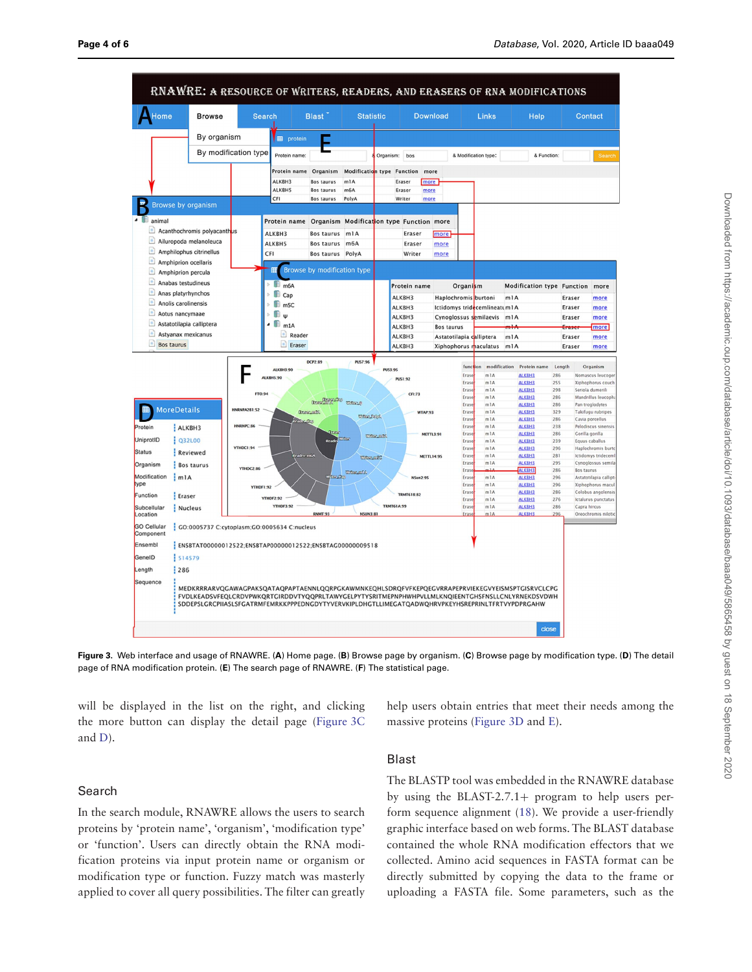

<span id="page-3-0"></span>**Figure 3.** Web interface and usage of RNAWRE. (**A**) Home page. (**B**) Browse page by organism. (**C**) Browse page by modification type. (**D**) The detail page of RNA modification protein. (**E**) The search page of RNAWRE. (**F**) The statistical page.

will be displayed in the list on the right, and clicking the more button can display the detail page [\(Figure 3C](#page-3-0) and [D\)](#page-3-0).

help users obtain entries that meet their needs among the massive proteins [\(Figure 3D](#page-3-0) and [E\)](#page-3-0).

## Search

In the search module, RNAWRE allows the users to search proteins by 'protein name', 'organism', 'modification type' or 'function'. Users can directly obtain the RNA modification proteins via input protein name or organism or modification type or function. Fuzzy match was masterly applied to cover all query possibilities. The filter can greatly

## Blast

The BLASTP tool was embedded in the RNAWRE database by using the BLAST-2.7.1+ program to help users perform sequence alignment [\(18\)](#page-5-1). We provide a user-friendly graphic interface based on web forms. The BLAST database contained the whole RNA modification effectors that we collected. Amino acid sequences in FASTA format can be directly submitted by copying the data to the frame or uploading a FASTA file. Some parameters, such as the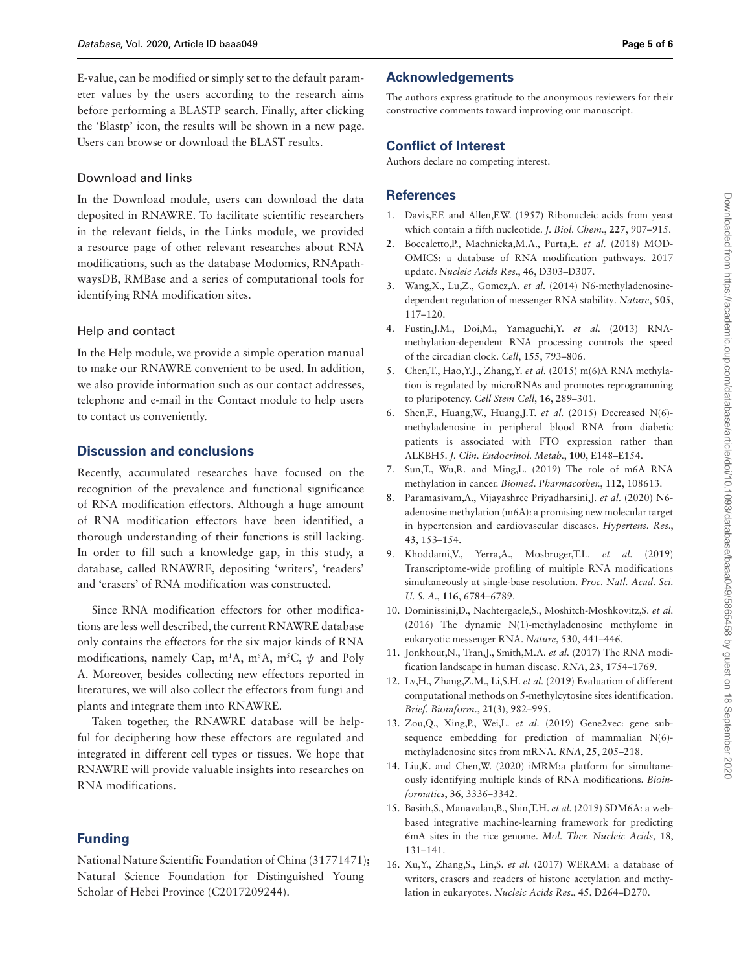E-value, can be modified or simply set to the default parameter values by the users according to the research aims before performing a BLASTP search. Finally, after clicking the 'Blastp' icon, the results will be shown in a new page. Users can browse or download the BLAST results.

#### Download and links

In the Download module, users can download the data deposited in RNAWRE. To facilitate scientific researchers in the relevant fields, in the Links module, we provided a resource page of other relevant researches about RNA modifications, such as the database Modomics, RNApathwaysDB, RMBase and a series of computational tools for identifying RNA modification sites.

### Help and contact

In the Help module, we provide a simple operation manual to make our RNAWRE convenient to be used. In addition, we also provide information such as our contact addresses, telephone and e-mail in the Contact module to help users to contact us conveniently.

## **Discussion and conclusions**

Recently, accumulated researches have focused on the recognition of the prevalence and functional significance of RNA modification effectors. Although a huge amount of RNA modification effectors have been identified, a thorough understanding of their functions is still lacking. In order to fill such a knowledge gap, in this study, a database, called RNAWRE, depositing 'writers', 'readers' and 'erasers' of RNA modification was constructed.

Since RNA modification effectors for other modifications are less well described, the current RNAWRE database only contains the effectors for the six major kinds of RNA modifications, namely Cap, m<sup>1</sup>A, m<sup>6</sup>A, m<sup>5</sup>C, ψ and Poly A. Moreover, besides collecting new effectors reported in literatures, we will also collect the effectors from fungi and plants and integrate them into RNAWRE.

Taken together, the RNAWRE database will be helpful for deciphering how these effectors are regulated and integrated in different cell types or tissues. We hope that RNAWRE will provide valuable insights into researches on RNA modifications.

## **Funding**

National Nature Scientific Foundation of China (31771471); Natural Science Foundation for Distinguished Young Scholar of Hebei Province (C2017209244).

## **Acknowledgements**

The authors express gratitude to the anonymous reviewers for their constructive comments toward improving our manuscript.

### **Conflict of Interest**

Authors declare no competing interest.

## **References**

- <span id="page-4-0"></span>1. Davis,F.F. and Allen,F.W. (1957) Ribonucleic acids from yeast which contain a fifth nucleotide. J. Biol. Chem., **227**, 907–915.
- <span id="page-4-1"></span>2. Boccaletto,P., Machnicka,M.A., Purta,E. et al. (2018) MOD-OMICS: a database of RNA modification pathways. 2017 update. Nucleic Acids Res., **46**, D303–D307.
- <span id="page-4-2"></span>3. Wang,X., Lu,Z., Gomez,A. et al. (2014) N6-methyladenosinedependent regulation of messenger RNA stability. Nature, **505**, 117–120.
- <span id="page-4-3"></span>4. Fustin,J.M., Doi,M., Yamaguchi,Y. et al. (2013) RNAmethylation-dependent RNA processing controls the speed of the circadian clock. Cell, **155**, 793–806.
- <span id="page-4-4"></span>5. Chen, T., Hao, Y.J., Zhang, Y. et al. (2015) m(6)A RNA methylation is regulated by microRNAs and promotes reprogramming to pluripotency. Cell Stem Cell, **16**, 289–301.
- <span id="page-4-5"></span>6. Shen, F., Huang, W., Huang, J.T. et al.  $(2015)$  Decreased N(6)methyladenosine in peripheral blood RNA from diabetic patients is associated with FTO expression rather than ALKBH5. J. Clin. Endocrinol. Metab., **100**, E148–E154.
- <span id="page-4-6"></span>7. Sun,T., Wu,R. and Ming,L. (2019) The role of m6A RNA methylation in cancer. Biomed. Pharmacother., **112**, 108613.
- <span id="page-4-7"></span>8. Paramasivam,A., Vijayashree Priyadharsini,J. et al. (2020) N6 adenosine methylation (m6A): a promising new molecular target in hypertension and cardiovascular diseases. Hypertens. Res., **43**, 153–154.
- <span id="page-4-8"></span>9. Khoddami,V., Yerra,A., Mosbruger,T.L. et al. (2019) Transcriptome-wide profiling of multiple RNA modifications simultaneously at single-base resolution. Proc. Natl. Acad. Sci. U. S. A., **116**, 6784–6789.
- <span id="page-4-9"></span>10. Dominissini,D., Nachtergaele,S., Moshitch-Moshkovitz,S. et al. (2016) The dynamic N(1)-methyladenosine methylome in eukaryotic messenger RNA. Nature, **530**, 441–446.
- <span id="page-4-10"></span>11. Jonkhout,N., Tran,J., Smith,M.A. et al. (2017) The RNA modification landscape in human disease. RNA, **23**, 1754–1769.
- <span id="page-4-11"></span>12. Lv,H., Zhang,Z.M., Li,S.H. et al. (2019) Evaluation of different computational methods on 5-methylcytosine sites identification. Brief. Bioinform., **21**(3), 982–995.
- 13. Zou,Q., Xing,P., Wei,L. et al. (2019) Gene2vec: gene subsequence embedding for prediction of mammalian N(6) methyladenosine sites from mRNA. RNA, **25**, 205–218.
- 14. Liu,K. and Chen,W. (2020) iMRM:a platform for simultaneously identifying multiple kinds of RNA modifications. Bioinformatics, **36**, 3336–3342.
- <span id="page-4-12"></span>15. Basith,S., Manavalan,B., Shin,T.H. et al. (2019) SDM6A: a webbased integrative machine-learning framework for predicting 6mA sites in the rice genome. Mol. Ther. Nucleic Acids, **18**, 131–141.
- <span id="page-4-13"></span>16. Xu,Y., Zhang,S., Lin,S. et al. (2017) WERAM: a database of writers, erasers and readers of histone acetylation and methylation in eukaryotes. Nucleic Acids Res., **45**, D264–D270.